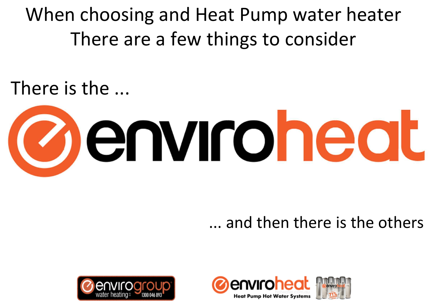When choosing and Heat Pump water heater There are a few things to consider

There is the ...

# Zenvironeat

### ... and then there is the others



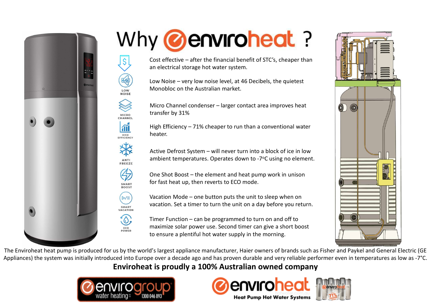

## Why **@enviroheat**?

Cost effective – after the financial benefit of STC's, cheaper than an electrical storage hot water system.

Low Noise – very low noise level, at 46 Decibels, the quietest Monobloc on the Australian market.

Micro Channel condenser – larger contact area improves heat transfer by 31%

High Efficiency – 71% cheaper to run than a conventional water heater.

Active Defrost System – will never turn into a block of ice in low ambient temperatures. Operates down to -7°C using no element.

One Shot Boost – the element and heat pump work in unison for fast heat up, then reverts to ECO mode.

Vacation Mode – one button puts the unit to sleep when on vacation. Set a timer to turn the unit on a day before you return.

Timer Function – can be programmed to turn on and off to maximize solar power use. Second timer can give a short boost to ensure a plentiful hot water supply in the morning.



The Enviroheat heat pump is produced for us by the world's largest appliance manufacturer, Haier owners of brands such as Fisher and Paykel and General Electric (GE Appliances) the system was initially introduced into Europe over a decade ago and has proven durable and very reliable performer even in temperatures as low as -7°C.

### **Enviroheat is proudly a 100% Australian owned company**



LOW<br>NOISE

**MICRO** CHANNEL m HIGH

ANTI<br>FREEZE

SMART **BOOST** 

 $D/||$ SMART **VACATION** 

> $\omega$ ECO<br>POWER



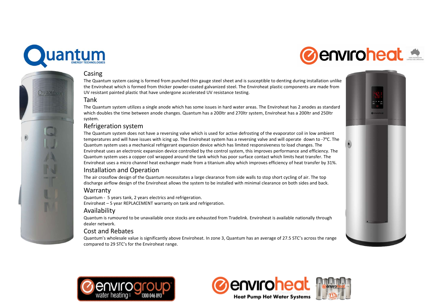

Oitardur,

 $\left( 0\right)$ 

### **@enviroheat #**

### Casing

The Quantum system casing is formed from punched thin gauge steel sheet and is susceptible to denting during installation unlike the Enviroheat which is formed from thicker powder-coated galvanized steel. The Enviroheat plastic components are made from UV resistant painted plastic that have undergone accelerated UV resistance testing.

### Tank

The Quantum system utilizes a single anode which has some issues in hard water areas. The Enviroheat has 2 anodes as standard which doubles the time between anode changes. Quantum has a 200ltr and 270ltr system, Enviroheat has a 200ltr and 250ltr system.

### Refrigeration system

The Quantum system does not have a reversing valve which is used for active defrosting of the evaporator coil in low ambient temperatures and will have issues with icing up. The Enviroheat system has a reversing valve and will operate down to -7°C. The Quantum system uses a mechanical refrigerant expansion device which has limited responsiveness to load changes. The Enviroheat uses an electronic expansion device controlled by the control system, this improves performance and efficiency. The Quantum system uses a copper coil wrapped around the tank which has poor surface contact which limits heat transfer. The Enviroheat uses a micro channel heat exchanger made from a titanium alloy which improves efficiency of heat transfer by 31%. Casing<br>The Quantum system casing is formed from punched thin gauge steel sheet and is susceptible the Constructon<br>the Enviroheat which is formed from thicker powder-coated galvanized steel. The Enviroheat plit<br>UV resistant Une Quantum system casing is formed from punched thin gauge steel sheet and is susceptible to the Enviroheat which is formed from thicker powder-coated galvanized steel. The Enviroheat plas UV resistant painted plastic tha

### Installation and Operation

The air crossflow design of the Quantum necessitates a large clearance from side walls to stop short cycling of air. The top discharge airflow design of the Enviroheat allows the system to be installed with minimal clearance on both sides and back.

### Warranty

### Availability

Quantum is rumoured to be unavailable once stocks are exhausted from Tradelink. Enviroheat is available nationally through dealer network.

### Cost and Rebates

Quantum's wholesale value is significantly above Enviroheat. In zone 3, Quantum has an average of 27.5 STC's across the range compared to 29 STC's for the Enviroheat range.







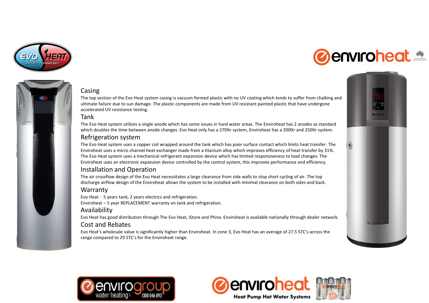

### **@enviroheat 4**

### Casing

The top section of the Evo Heat system casing is vacuum formed plastic with no UV coating which tends to suffer from chalking and ultimate failure due to sun damage. The plastic components are made from UV resistant painted plastic that have undergone accelerated UV resistance testing.

#### Tank

The Evo Heat system utilizes a single anode which has some issues in hard water areas. The Enviroheat has 2 anodes as standard which doubles the time between anode changes. Evo Heat only has a 270ltr system, Enviroheat has a 200ltr and 250ltr system.

#### Refrigeration system

The Evo Heat system uses a copper coil wrapped around the tank which has poor surface contact which limits heat transfer. The Enviroheat uses a micro channel heat exchanger made from a titanium alloy which improves efficiency of heat transfer by 31%. The Evo Heat system uses a mechanical refrigerant expansion device which has limited responsiveness to load changes. The Enviroheat uses an electronic expansion device controlled by the control system, this improves performance and efficiency.

### Installation and Operation

The air crossflow design of the Evo Heat necessitates a large clearance from side walls to stop short cycling of air. The top discharge airflow design of the Enviroheat allows the system to be installed with minimal clearance on both sides and back.

### Warranty

Evo Heat - 5 years tank, 2 years electrics and refrigeration. Enviroheat – 5 year REPLACEMENT warranty on tank and refrigeration.

### Availability

Evo Heat has good distribution through The Evo Heat, iStore and Phinx. Enviroheat is available nationally through dealer network.

### Cost and Rebates

Evo Heat's wholesale value is significantly higher than Enviroheat. In zone 3, Evo Heat has an average of 27.5 STC's across the range compared to 29 STC's for the Enviroheat range.







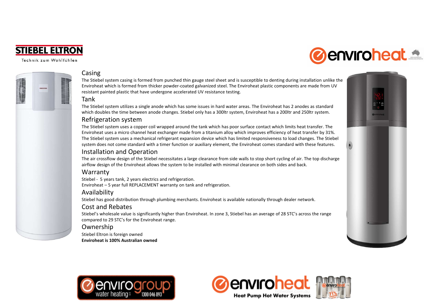

Technik zum Wohlfühlen

### **@enviroheat =**



#### Casing

The Stiebel system casing is formed from punched thin gauge steel sheet and is susceptible to denting during installation unlike the Enviroheat which is formed from thicker powder-coated galvanized steel. The Enviroheat plastic components are made from UV resistant painted plastic that have undergone accelerated UV resistance testing.

#### Tank

The Stiebel system utilizes a single anode which has some issues in hard water areas. The Enviroheat has 2 anodes as standard which doubles the time between anode changes. Stiebel only has a 300ltr system, Enviroheat has a 200ltr and 250ltr system.

### Refrigeration system

The Stiebel system uses a copper coil wrapped around the tank which has poor surface contact which limits heat transfer. The Enviroheat uses a micro channel heat exchanger made from a titanium alloy which improves efficiency of heat transfer by 31%. The Stiebel system uses a mechanical refrigerant expansion device which has limited responsiveness to load changes. The Stiebel system does not come standard with a timer function or auxiliary element, the Enviroheat comes standard with these features.

### Installation and Operation

The air crossflow design of the Stiebel necessitates a large clearance from side walls to stop short cycling of air. The top discharge airflow design of the Enviroheat allows the system to be installed with minimal clearance on both sides and back.

### Warranty

Stiebel - 5 years tank, 2 years electrics and refrigeration. Enviroheat – 5 year full REPLACEMENT warranty on tank and refrigeration.

### Availability

Stiebel has good distribution through plumbing merchants. Enviroheat is available nationally through dealer network.

### Cost and Rebates

Stiebel's wholesale value is significantly higher than Enviroheat. In zone 3, Stiebel has an average of 28 STC's across the range compared to 29 STC's for the Enviroheat range.

### Ownership

Stiebel Eltron is foreign owned **Enviroheat is 100% Australian owned**